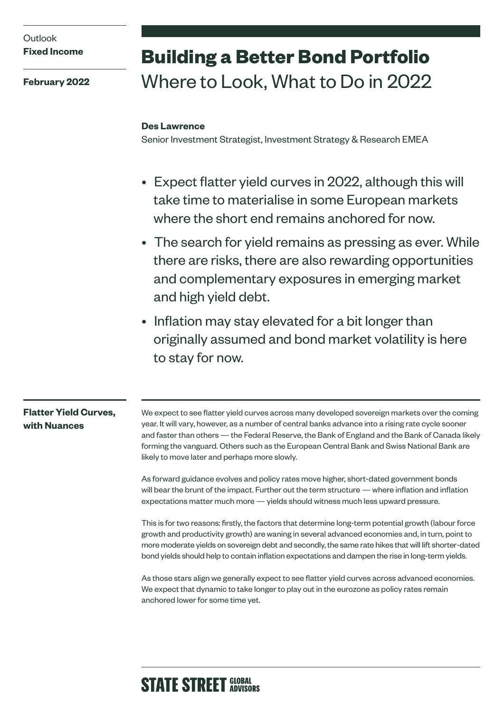## **Outlook Fixed Income**

**February 2022**

# **Building a Better Bond Portfolio**  Where to Look, What to Do in 2022

#### **Des Lawrence**

Senior Investment Strategist, Investment Strategy & Research EMEA

- Expect flatter yield curves in 2022, although this will take time to materialise in some European markets where the short end remains anchored for now.
- The search for yield remains as pressing as ever. While there are risks, there are also rewarding opportunities and complementary exposures in emerging market and high yield debt.
- Inflation may stay elevated for a bit longer than originally assumed and bond market volatility is here to stay for now.

#### **Flatter Yield Curves, with Nuances**

We expect to see flatter yield curves across many developed sovereign markets over the coming year. It will vary, however, as a number of central banks advance into a rising rate cycle sooner and faster than others — the Federal Reserve, the Bank of England and the Bank of Canada likely forming the vanguard. Others such as the European Central Bank and Swiss National Bank are likely to move later and perhaps more slowly.

As forward guidance evolves and policy rates move higher, short-dated government bonds will bear the brunt of the impact. Further out the term structure — where inflation and inflation expectations matter much more — yields should witness much less upward pressure.

This is for two reasons: firstly, the factors that determine long-term potential growth (labour force growth and productivity growth) are waning in several advanced economies and, in turn, point to more moderate yields on sovereign debt and secondly, the same rate hikes that will lift shorter-dated bond yields should help to contain inflation expectations and dampen the rise in long-term yields.

As those stars align we generally expect to see flatter yield curves across advanced economies. We expect that dynamic to take longer to play out in the eurozone as policy rates remain anchored lower for some time yet.

# **STATE STREET GLOBAL**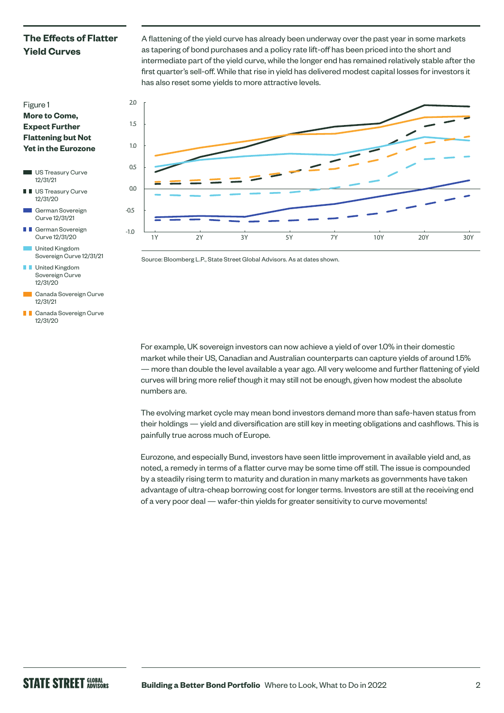## **The Effects of Flatter Yield Curves**

A flattening of the yield curve has already been underway over the past year in some markets as tapering of bond purchases and a policy rate lift-off has been priced into the short and intermediate part of the yield curve, while the longer end has remained relatively stable after the first quarter's sell-off. While that rise in yield has delivered modest capital losses for investors it has also reset some yields to more attractive levels.



Source: Bloomberg L.P., State Street Global Advisors. As at dates shown.

For example, UK sovereign investors can now achieve a yield of over 1.0% in their domestic market while their US, Canadian and Australian counterparts can capture yields of around 1.5% — more than double the level available a year ago. All very welcome and further flattening of yield curves will bring more relief though it may still not be enough, given how modest the absolute numbers are.

The evolving market cycle may mean bond investors demand more than safe-haven status from their holdings — yield and diversification are still key in meeting obligations and cashflows. This is painfully true across much of Europe.

Eurozone, and especially Bund, investors have seen little improvement in available yield and, as noted, a remedy in terms of a flatter curve may be some time off still. The issue is compounded by a steadily rising term to maturity and duration in many markets as governments have taken advantage of ultra-cheap borrowing cost for longer terms. Investors are still at the receiving end of a very poor deal — wafer-thin yields for greater sensitivity to curve movements!



- US Treasury Curve 12/31/21
- **I** US Treasury Curve 12/31/20
- German Sovereign Curve 12/31/21
- **T** German Sovereign Curve 12/31/20
- United Kingdom Sovereign Curve 12/31/21
- **I** United Kingdom Sovereign Curve 12/31/20
- Canada Sovereign Curve 12/31/21
- **Canada Sovereign Curve** 12/31/20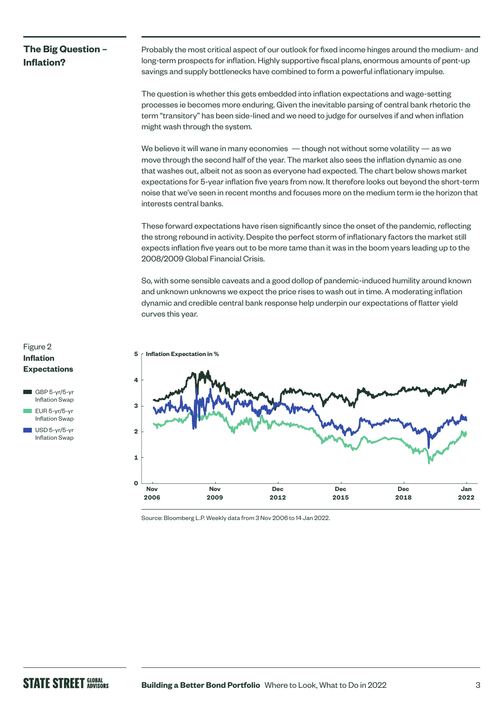## **The Big Question – Inflation?**

Probably the most critical aspect of our outlook for fixed income hinges around the medium- and long-term prospects for inflation. Highly supportive fiscal plans, enormous amounts of pent-up savings and supply bottlenecks have combined to form a powerful inflationary impulse.

The question is whether this gets embedded into inflation expectations and wage-setting processes ie becomes more enduring. Given the inevitable parsing of central bank rhetoric the term "transitory" has been side-lined and we need to judge for ourselves if and when inflation might wash through the system.

We believe it will wane in many economies  $-$  though not without some volatility  $-$  as we move through the second half of the year. The market also sees the inflation dynamic as one that washes out, albeit not as soon as everyone had expected. The chart below shows market expectations for 5-year inflation five years from now. It therefore looks out beyond the short-term noise that we've seen in recent months and focuses more on the medium term ie the horizon that interests central banks.

These forward expectations have risen significantly since the onset of the pandemic, reflecting the strong rebound in activity. Despite the perfect storm of inflationary factors the market still expects inflation five years out to be more tame than it was in the boom years leading up to the 2008/2009 Global Financial Crisis.

So, with some sensible caveats and a good dollop of pandemic-induced humility around known and unknown unknowns we expect the price rises to wash out in time. A moderating inflation dynamic and credible central bank response help underpin our expectations of flatter yield curves this year.



Source: Bloomberg L.P. Weekly data from 3 Nov 2006 to 14 Jan 2022.

#### Figure 2 **Inflation Expectations**

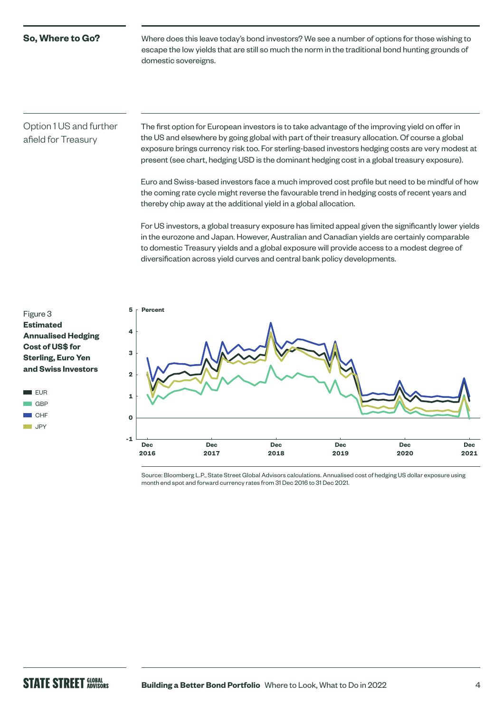#### **So, Where to Go?**

Where does this leave today's bond investors? We see a number of options for those wishing to escape the low yields that are still so much the norm in the traditional bond hunting grounds of domestic sovereigns.

#### Option 1 US and further afield for Treasury

The first option for European investors is to take advantage of the improving yield on offer in the US and elsewhere by going global with part of their treasury allocation. Of course a global exposure brings currency risk too. For sterling-based investors hedging costs are very modest at present (see chart, hedging USD is the dominant hedging cost in a global treasury exposure).

Euro and Swiss-based investors face a much improved cost profile but need to be mindful of how the coming rate cycle might reverse the favourable trend in hedging costs of recent years and thereby chip away at the additional yield in a global allocation.

For US investors, a global treasury exposure has limited appeal given the significantly lower yields in the eurozone and Japan. However, Australian and Canadian yields are certainly comparable to domestic Treasury yields and a global exposure will provide access to a modest degree of diversification across yield curves and central bank policy developments.

#### Figure 3 **Estimated Annualised Hedging Cost of US\$ for Sterling, Euro Yen and Swiss Investors**





Source: Bloomberg L.P., State Street Global Advisors calculations. Annualised cost of hedging US dollar exposure using month end spot and forward currency rates from 31 Dec 2016 to 31 Dec 2021.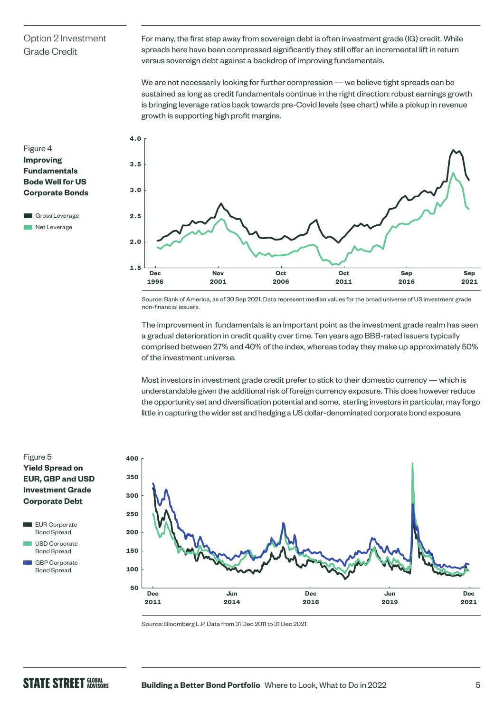### Option 2 Investment Grade Credit

For many, the first step away from sovereign debt is often investment grade (IG) credit. While spreads here have been compressed significantly they still offer an incremental lift in return versus sovereign debt against a backdrop of improving fundamentals.

We are not necessarily looking for further compression — we believe tight spreads can be sustained as long as credit fundamentals continue in the right direction: robust earnings growth is bringing leverage ratios back towards pre-Covid levels (see chart) while a pickup in revenue growth is supporting high profit margins.

#### Figure 4 **Improving Fundamentals Bode Well for US Corporate Bonds**

Gross Leverage **Net Leverage** 



Source: Bank of America, as of 30 Sep 2021. Data represent median values for the broad universe of US investment grade non-financial issuers.

The improvement in fundamentals is an important point as the investment grade realm has seen a gradual deterioration in credit quality over time. Ten years ago BBB-rated issuers typically comprised between 27% and 40% of the index, whereas today they make up approximately 50% of the investment universe.

Most investors in investment grade credit prefer to stick to their domestic currency — which is understandable given the additional risk of foreign currency exposure. This does however reduce the opportunity set and diversification potential and some, sterling investors in particular, may forgo little in capturing the wider set and hedging a US dollar-denominated corporate bond exposure.

#### Figure 5 **Yield Spread on EUR, GBP and USD Investment Grade Corporate Debt**





 GBP Corporate Bond Spread



Source: Bloomberg L.P. Data from 31 Dec 2011 to 31 Dec 2021.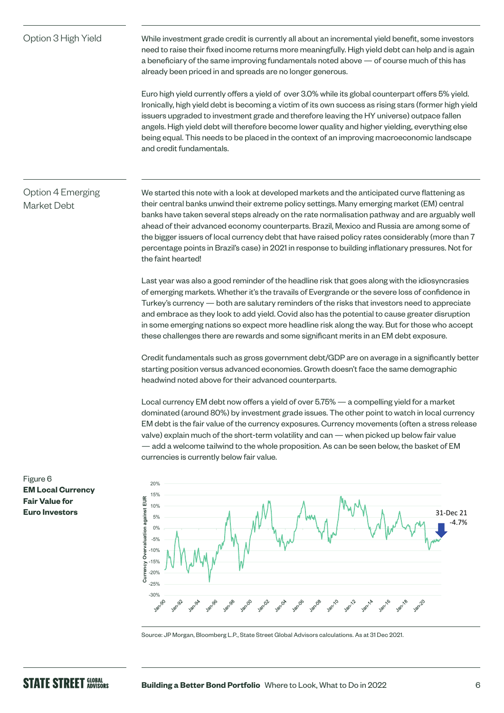Option 3 High Yield While investment grade credit is currently all about an incremental yield benefit, some investors need to raise their fixed income returns more meaningfully. High yield debt can help and is again a beneficiary of the same improving fundamentals noted above — of course much of this has already been priced in and spreads are no longer generous.

> Euro high yield currently offers a yield of over 3.0% while its global counterpart offers 5% yield. Ironically, high yield debt is becoming a victim of its own success as rising stars (former high yield issuers upgraded to investment grade and therefore leaving the HY universe) outpace fallen angels. High yield debt will therefore become lower quality and higher yielding, everything else being equal. This needs to be placed in the context of an improving macroeconomic landscape and credit fundamentals.

# Option 4 Emerging Market Debt

We started this note with a look at developed markets and the anticipated curve flattening as their central banks unwind their extreme policy settings. Many emerging market (EM) central banks have taken several steps already on the rate normalisation pathway and are arguably well ahead of their advanced economy counterparts. Brazil, Mexico and Russia are among some of the bigger issuers of local currency debt that have raised policy rates considerably (more than 7 percentage points in Brazil's case) in 2021 in response to building inflationary pressures. Not for the faint hearted!

Last year was also a good reminder of the headline risk that goes along with the idiosyncrasies of emerging markets. Whether it's the travails of Evergrande or the severe loss of confidence in Turkey's currency — both are salutary reminders of the risks that investors need to appreciate and embrace as they look to add yield. Covid also has the potential to cause greater disruption in some emerging nations so expect more headline risk along the way. But for those who accept these challenges there are rewards and some significant merits in an EM debt exposure.

Credit fundamentals such as gross government debt/GDP are on average in a significantly better starting position versus advanced economies. Growth doesn't face the same demographic headwind noted above for their advanced counterparts.

Local currency EM debt now offers a yield of over 5.75% — a compelling yield for a market dominated (around 80%) by investment grade issues. The other point to watch in local currency EM debt is the fair value of the currency exposures. Currency movements (often a stress release valve) explain much of the short-term volatility and can — when picked up below fair value — add a welcome tailwind to the whole proposition. As can be seen below, the basket of EM currencies is currently below fair value.



Source: JP Morgan, Bloomberg L.P., State Street Global Advisors calculations. As at 31 Dec 2021.

Figure 6 **EM Local Currency Fair Value for Euro Investors**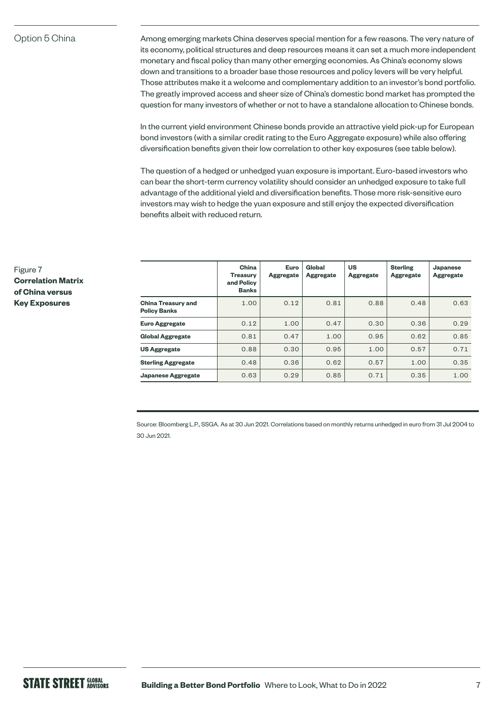#### Option 5 China

Among emerging markets China deserves special mention for a few reasons. The very nature of its economy, political structures and deep resources means it can set a much more independent monetary and fiscal policy than many other emerging economies. As China's economy slows down and transitions to a broader base those resources and policy levers will be very helpful. Those attributes make it a welcome and complementary addition to an investor's bond portfolio. The greatly improved access and sheer size of China's domestic bond market has prompted the question for many investors of whether or not to have a standalone allocation to Chinese bonds.

In the current yield environment Chinese bonds provide an attractive yield pick-up for European bond investors (with a similar credit rating to the Euro Aggregate exposure) while also offering diversification benefits given their low correlation to other key exposures (see table below).

The question of a hedged or unhedged yuan exposure is important. Euro-based investors who can bear the short-term currency volatility should consider an unhedged exposure to take full advantage of the additional yield and diversification benefits. Those more risk-sensitive euro investors may wish to hedge the yuan exposure and still enjoy the expected diversification benefits albeit with reduced return.

|                                                  | China<br><b>Treasury</b><br>and Policy<br><b>Banks</b> | <b>Euro</b><br><b>Aggregate</b> | Global<br><b>Aggregate</b> | <b>US</b><br><b>Aggregate</b> | <b>Sterling</b><br><b>Aggregate</b> | <b>Japanese</b><br><b>Aggregate</b> |
|--------------------------------------------------|--------------------------------------------------------|---------------------------------|----------------------------|-------------------------------|-------------------------------------|-------------------------------------|
| <b>China Treasury and</b><br><b>Policy Banks</b> | 1.00                                                   | 0.12                            | 0.81                       | 0.88                          | 0.48                                | 0.63                                |
| <b>Euro Aggregate</b>                            | 0.12                                                   | 1.00                            | 0.47                       | 0.30                          | 0.36                                | 0.29                                |
| <b>Global Aggregate</b>                          | 0.81                                                   | 0.47                            | 1.00                       | 0.95                          | 0.62                                | 0.85                                |
| <b>US Aggregate</b>                              | 0.88                                                   | 0.30                            | 0.95                       | 1.00                          | 0.57                                | 0.71                                |
| <b>Sterling Aggregate</b>                        | 0.48                                                   | 0.36                            | 0.62                       | 0.57                          | 1.00                                | 0.35                                |
| <b>Japanese Aggregate</b>                        | 0.63                                                   | 0.29                            | 0.85                       | 0.71                          | 0.35                                | 1.00                                |

Source: Bloomberg L.P., SSGA. As at 30 Jun 2021. Correlations based on monthly returns unhedged in euro from 31 Jul 2004 to 30 Jun 2021.

Figure 7 **Correlation Matrix of China versus Key Exposures**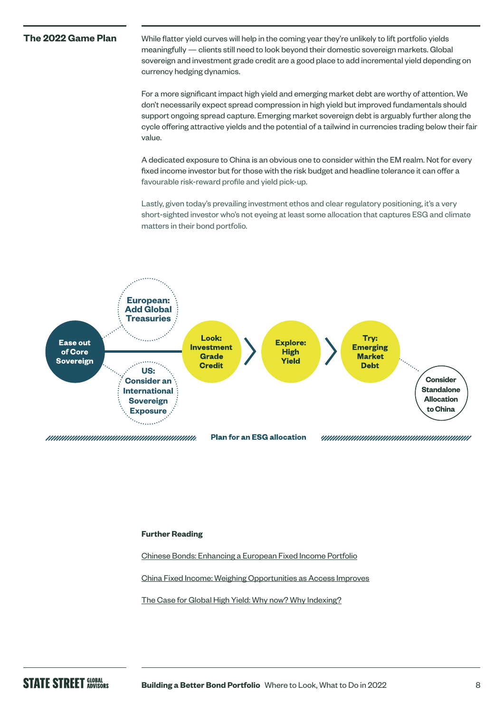**The 2022 Game Plan** While flatter yield curves will help in the coming year they're unlikely to lift portfolio yields meaningfully — clients still need to look beyond their domestic sovereign markets. Global sovereign and investment grade credit are a good place to add incremental yield depending on currency hedging dynamics.

> For a more significant impact high yield and emerging market debt are worthy of attention. We don't necessarily expect spread compression in high yield but improved fundamentals should support ongoing spread capture. Emerging market sovereign debt is arguably further along the cycle offering attractive yields and the potential of a tailwind in currencies trading below their fair value.

A dedicated exposure to China is an obvious one to consider within the EM realm. Not for every fixed income investor but for those with the risk budget and headline tolerance it can offer a favourable risk-reward profile and yield pick-up.

Lastly, given today's prevailing investment ethos and clear regulatory positioning, it's a very short-sighted investor who's not eyeing at least some allocation that captures ESG and climate matters in their bond portfolio.



#### **Further Reading**

[Chinese Bonds: Enhancing a European Fixed Income Portfolio](https://www.ssga.com/ic/insights/chinese-bonds-enhancing-a-european-fixed-income-portfolio)

[China Fixed Income: Weighing Opportunities as Access Improves](https://www.ssga.com/ic/insights/china-fixed-income-weighing-opportunities-as-access-improves)

[The Case for Global High Yield: Why now? Why Indexing?](https://www.ssga.com/ic/insights/fixed-income-case-for-high-yield)